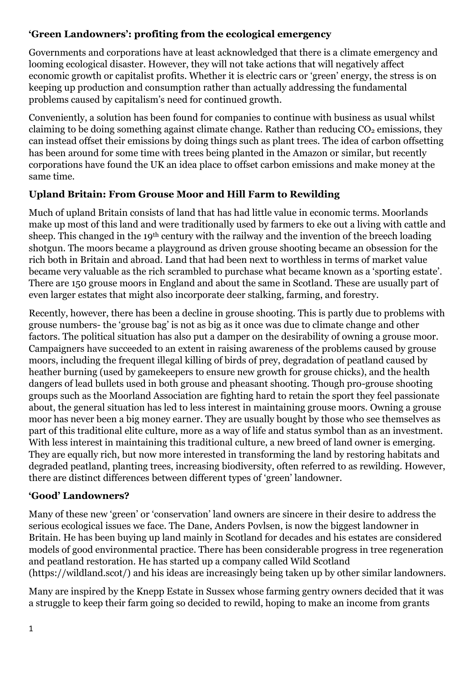### **'Green Landowners': profiting from the ecological emergency**

Governments and corporations have at least acknowledged that there is a climate emergency and looming ecological disaster. However, they will not take actions that will negatively affect economic growth or capitalist profits. Whether it is electric cars or 'green' energy, the stress is on keeping up production and consumption rather than actually addressing the fundamental problems caused by capitalism's need for continued growth.

Conveniently, a solution has been found for companies to continue with business as usual whilst claiming to be doing something against climate change. Rather than reducing  $CO<sub>2</sub>$  emissions, they can instead offset their emissions by doing things such as plant trees. The idea of carbon offsetting has been around for some time with trees being planted in the Amazon or similar, but recently corporations have found the UK an idea place to offset carbon emissions and make money at the same time.

# **Upland Britain: From Grouse Moor and Hill Farm to Rewilding**

Much of upland Britain consists of land that has had little value in economic terms. Moorlands make up most of this land and were traditionally used by farmers to eke out a living with cattle and sheep. This changed in the 19th century with the railway and the invention of the breech loading shotgun. The moors became a playground as driven grouse shooting became an obsession for the rich both in Britain and abroad. Land that had been next to worthless in terms of market value became very valuable as the rich scrambled to purchase what became known as a 'sporting estate'. There are 150 grouse moors in England and about the same in Scotland. These are usually part of even larger estates that might also incorporate deer stalking, farming, and forestry.

Recently, however, there has been a decline in grouse shooting. This is partly due to problems with grouse numbers- the 'grouse bag' is not as big as it once was due to climate change and other factors. The political situation has also put a damper on the desirability of owning a grouse moor. Campaigners have succeeded to an extent in raising awareness of the problems caused by grouse moors, including the frequent illegal killing of birds of prey, degradation of peatland caused by heather burning (used by gamekeepers to ensure new growth for grouse chicks), and the health dangers of lead bullets used in both grouse and pheasant shooting. Though pro-grouse shooting groups such as the Moorland Association are fighting hard to retain the sport they feel passionate about, the general situation has led to less interest in maintaining grouse moors. Owning a grouse moor has never been a big money earner. They are usually bought by those who see themselves as part of this traditional elite culture, more as a way of life and status symbol than as an investment. With less interest in maintaining this traditional culture, a new breed of land owner is emerging. They are equally rich, but now more interested in transforming the land by restoring habitats and degraded peatland, planting trees, increasing biodiversity, often referred to as rewilding. However, there are distinct differences between different types of 'green' landowner.

# **'Good' Landowners?**

Many of these new 'green' or 'conservation' land owners are sincere in their desire to address the serious ecological issues we face. The Dane, Anders Povlsen, is now the biggest landowner in Britain. He has been buying up land mainly in Scotland for decades and his estates are considered models of good environmental practice. There has been considerable progress in tree regeneration and peatland restoration. He has started up a company called Wild Scotland (https://wildland.scot/) and his ideas are increasingly being taken up by other similar landowners.

Many are inspired by the Knepp Estate in Sussex whose farming gentry owners decided that it was a struggle to keep their farm going so decided to rewild, hoping to make an income from grants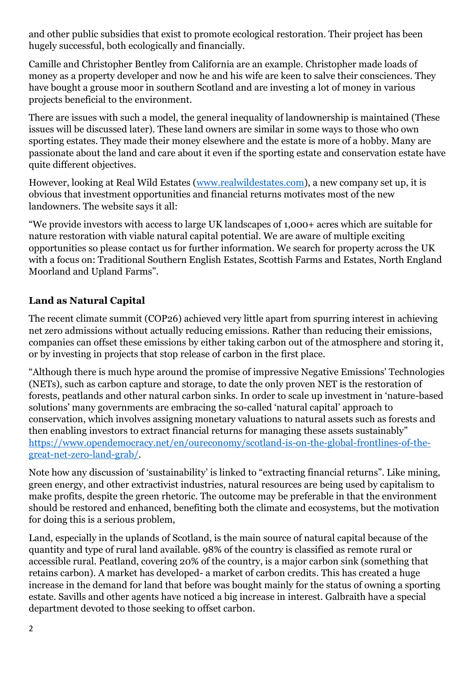and other public subsidies that exist to promote ecological restoration. Their project has been hugely successful, both ecologically and financially.

Camille and Christopher Bentley from California are an example. Christopher made loads of money as a property developer and now he and his wife are keen to salve their consciences. They have bought a grouse moor in southern Scotland and are investing a lot of money in various projects beneficial to the environment.

There are issues with such a model, the general inequality of landownership is maintained (These issues will be discussed later). These land owners are similar in some ways to those who own sporting estates. They made their money elsewhere and the estate is more of a hobby. Many are passionate about the land and care about it even if the sporting estate and conservation estate have quite different objectives.

However, looking at Real Wild Estates [\(www.realwildestates.com\)](http://www.realwildestates.com/), a new company set up, it is obvious that investment opportunities and financial returns motivates most of the new landowners. The website says it all:

"We provide investors with access to large UK landscapes of 1,000+ acres which are suitable for nature restoration with viable natural capital potential. We are aware of multiple exciting opportunities so please contact us for further information. We search for property across the UK with a focus on: Traditional Southern English Estates, Scottish Farms and Estates, North England Moorland and Upland Farms".

# **Land as Natural Capital**

The recent climate summit (COP26) achieved very little apart from spurring interest in achieving net zero admissions without actually reducing emissions. Rather than reducing their emissions, companies can offset these emissions by either taking carbon out of the atmosphere and storing it, or by investing in projects that stop release of carbon in the first place.

"Although there is much hype around the promise of impressive Negative Emissions' Technologies (NETs), such as carbon capture and storage, to date the only proven NET is the restoration of forests, peatlands and other natural carbon sinks. In order to scale up investment in 'nature-based solutions' many governments are embracing the so-called 'natural capital' approach to conservation, which involves assigning monetary valuations to natural assets such as forests and then enabling investors to extract financial returns for managing these assets sustainably" [https://www.opendemocracy.net/en/oureconomy/scotland-is-on-the-global-frontlines-of-the](https://www.opendemocracy.net/en/oureconomy/scotland-is-on-the-global-frontlines-of-the-great-net-zero-land-grab/)[great-net-zero-land-grab/.](https://www.opendemocracy.net/en/oureconomy/scotland-is-on-the-global-frontlines-of-the-great-net-zero-land-grab/)

Note how any discussion of 'sustainability' is linked to "extracting financial returns". Like mining, green energy, and other extractivist industries, natural resources are being used by capitalism to make profits, despite the green rhetoric. The outcome may be preferable in that the environment should be restored and enhanced, benefiting both the climate and ecosystems, but the motivation for doing this is a serious problem,

Land, especially in the uplands of Scotland, is the main source of natural capital because of the quantity and type of rural land available. 98% of the country is classified as remote rural or accessible rural. Peatland, covering 20% of the country, is a major carbon sink (something that retains carbon). A market has developed- a market of carbon credits. This has created a huge increase in the demand for land that before was bought mainly for the status of owning a sporting estate. Savills and other agents have noticed a big increase in interest. Galbraith have a special department devoted to those seeking to offset carbon.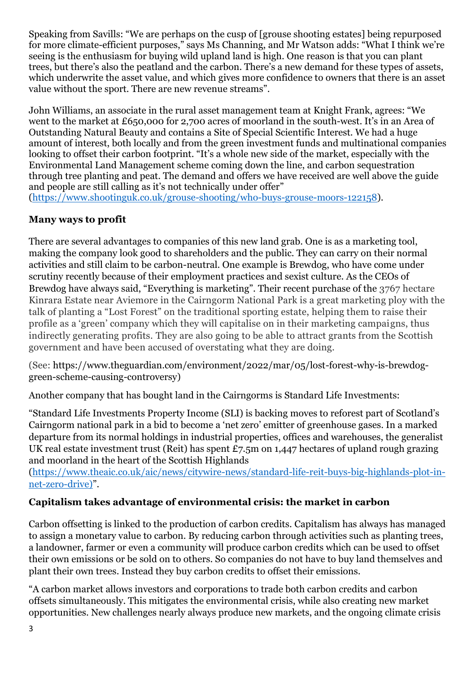Speaking from Savills: "We are perhaps on the cusp of [grouse shooting estates] being repurposed for more climate-efficient purposes," says Ms Channing, and Mr Watson adds: "What I think we're seeing is the enthusiasm for buying wild upland land is high. One reason is that you can plant trees, but there's also the peatland and the carbon. There's a new demand for these types of assets, which underwrite the asset value, and which gives more confidence to owners that there is an asset value without the sport. There are new revenue streams".

John Williams, an associate in the rural asset management team at Knight Frank, agrees: "We went to the market at £650,000 for 2,700 acres of moorland in the south-west. It's in an Area of Outstanding Natural Beauty and contains a Site of Special Scientific Interest. We had a huge amount of interest, both locally and from the green investment funds and multinational companies looking to offset their carbon footprint. "It's a whole new side of the market, especially with the Environmental Land Management scheme coming down the line, and carbon sequestration through tree planting and peat. The demand and offers we have received are well above the guide and people are still calling as it's not technically under offer"

[\(https://www.shootinguk.co.uk/grouse-shooting/who-buys-grouse-moors-122158\)](https://www.shootinguk.co.uk/grouse-shooting/who-buys-grouse-moors-122158).

#### **Many ways to profit**

There are several advantages to companies of this new land grab. One is as a marketing tool, making the company look good to shareholders and the public. They can carry on their normal activities and still claim to be carbon-neutral. One example is Brewdog, who have come under scrutiny recently because of their employment practices and sexist culture. As the CEOs of Brewdog have always said, "Everything is marketing". Their recent purchase of the 3767 hectare Kinrara Estate near Aviemore in the Cairngorm National Park is a great marketing ploy with the talk of planting a "Lost Forest" on the traditional sporting estate, helping them to raise their profile as a 'green' company which they will capitalise on in their marketing campaigns, thus indirectly generating profits. They are also going to be able to attract grants from the Scottish government and have been accused of overstating what they are doing.

(See: https://www.theguardian.com/environment/2022/mar/05/lost-forest-why-is-brewdoggreen-scheme-causing-controversy)

Another company that has bought land in the Cairngorms is Standard Life Investments:

"Standard Life Investments Property Income (SLI) is backing moves to reforest part of Scotland's Cairngorm national park in a bid to become a 'net zero' emitter of greenhouse gases. In a marked departure from its normal holdings in industrial properties, offices and warehouses, the generalist UK real estate investment trust (Reit) has spent £7.5m on 1,447 hectares of upland rough grazing and moorland in the heart of the Scottish Highlands

[\(https://www.theaic.co.uk/aic/news/citywire-news/standard-life-reit-buys-big-highlands-plot-in](https://www.theaic.co.uk/aic/news/citywire-news/standard-life-reit-buys-big-highlands-plot-in-net-zero-drive))[net-zero-drive\)](https://www.theaic.co.uk/aic/news/citywire-news/standard-life-reit-buys-big-highlands-plot-in-net-zero-drive))".

#### **Capitalism takes advantage of environmental crisis: the market in carbon**

Carbon offsetting is linked to the production of carbon credits. Capitalism has always has managed to assign a monetary value to carbon. By reducing carbon through activities such as planting trees, a landowner, farmer or even a community will produce carbon credits which can be used to offset their own emissions or be sold on to others. So companies do not have to buy land themselves and plant their own trees. Instead they buy carbon credits to offset their emissions.

"A carbon market allows investors and corporations to trade both carbon credits and carbon offsets simultaneously. This mitigates the environmental crisis, while also creating new market opportunities. New challenges nearly always produce new markets, and the ongoing climate crisis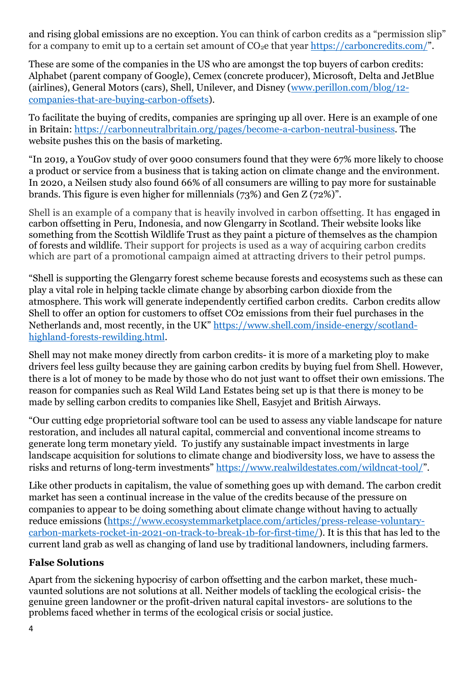and rising global emissions are no exception. You can think of carbon credits as a "permission slip" for a company to emit up to a certain set amount of  $CO<sub>2</sub>e$  that year <https://carboncredits.com/>".

These are some of the companies in the US who are amongst the top buyers of carbon credits: Alphabet (parent company of Google), Cemex (concrete producer), Microsoft, Delta and JetBlue (airlines), General Motors (cars), Shell, Unilever, and Disney [\(www.perillon.com/blog/12](http://www.perillon.com/blog/12-companies-that-are-buying-carbon-offsets) [companies-that-are-buying-carbon-offsets\)](http://www.perillon.com/blog/12-companies-that-are-buying-carbon-offsets).

To facilitate the buying of credits, companies are springing up all over. Here is an example of one in Britain: [https://carbonneutralbritain.org/pages/become-a-carbon-neutral-business.](https://carbonneutralbritain.org/pages/become-a-carbon-neutral-business) The website pushes this on the basis of marketing.

"In 2019, a YouGov study of over 9000 consumers found that they were 67% more likely to choose a product or service from a business that is taking action on climate change and the environment. In 2020, a Neilsen study also found 66% of all consumers are willing to pay more for sustainable brands. This figure is even higher for millennials (73%) and Gen Z (72%)".

Shell is an example of a company that is heavily involved in carbon offsetting. It has engaged in carbon offsetting in Peru, Indonesia, and now Glengarry in Scotland. Their website looks like something from the Scottish Wildlife Trust as they paint a picture of themselves as the champion of forests and wildlife. Their support for projects is used as a way of acquiring carbon credits which are part of a promotional campaign aimed at attracting drivers to their petrol pumps.

"Shell is supporting the Glengarry forest scheme because forests and ecosystems such as these can play a vital role in helping tackle climate change by absorbing carbon dioxide from the atmosphere. This work will generate independently certified carbon credits. Carbon credits allow Shell to offer an option for customers to offset CO2 emissions from their fuel purchases in the Netherlands and, most recently, in the UK" [https://www.shell.com/inside-energy/scotland](https://www.shell.com/inside-energy/scotland-highland-forests-rewilding.html)[highland-forests-rewilding.html.](https://www.shell.com/inside-energy/scotland-highland-forests-rewilding.html)

Shell may not make money directly from carbon credits- it is more of a marketing ploy to make drivers feel less guilty because they are gaining carbon credits by buying fuel from Shell. However, there is a lot of money to be made by those who do not just want to offset their own emissions. The reason for companies such as Real Wild Land Estates being set up is that there is money to be made by selling carbon credits to companies like Shell, Easyjet and British Airways.

"Our cutting edge proprietorial software tool can be used to assess any viable landscape for nature restoration, and includes all natural capital, commercial and conventional income streams to generate long term monetary yield. To justify any sustainable impact investments in large landscape acquisition for solutions to climate change and biodiversity loss, we have to assess the risks and returns of long-term investments" <https://www.realwildestates.com/wildncat-tool/>".

Like other products in capitalism, the value of something goes up with demand. The carbon credit market has seen a continual increase in the value of the credits because of the pressure on companies to appear to be doing something about climate change without having to actually reduce emissions [\(https://www.ecosystemmarketplace.com/articles/press-release-voluntary](https://www.ecosystemmarketplace.com/articles/press-release-voluntary-carbon-markets-rocket-in-2021-on-track-to-break-1b-for-first-time/)[carbon-markets-rocket-in-2021-on-track-to-break-1b-for-first-time/\)](https://www.ecosystemmarketplace.com/articles/press-release-voluntary-carbon-markets-rocket-in-2021-on-track-to-break-1b-for-first-time/). It is this that has led to the current land grab as well as changing of land use by traditional landowners, including farmers.

# **False Solutions**

Apart from the sickening hypocrisy of carbon offsetting and the carbon market, these muchvaunted solutions are not solutions at all. Neither models of tackling the ecological crisis- the genuine green landowner or the profit-driven natural capital investors- are solutions to the problems faced whether in terms of the ecological crisis or social justice.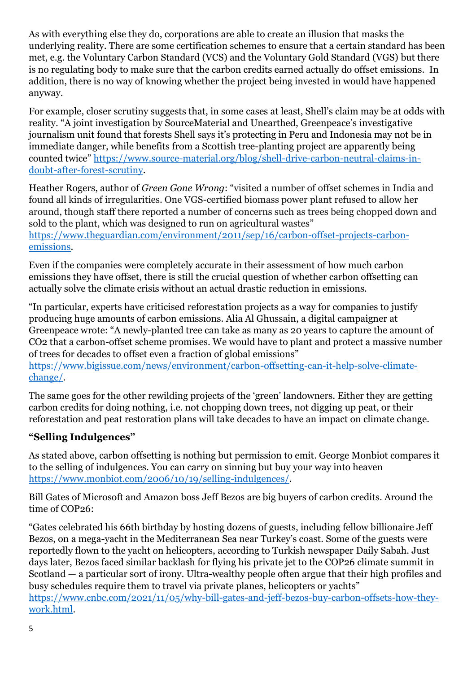As with everything else they do, corporations are able to create an illusion that masks the underlying reality. There are some certification schemes to ensure that a certain standard has been met, e.g. the Voluntary Carbon Standard (VCS) and the Voluntary Gold Standard (VGS) but there is no regulating body to make sure that the carbon credits earned actually do offset emissions. In addition, there is no way of knowing whether the project being invested in would have happened anyway.

For example, closer scrutiny suggests that, in some cases at least, Shell's claim may be at odds with reality. "A joint investigation by SourceMaterial and Unearthed, Greenpeace's investigative journalism unit found that forests Shell says it's protecting in Peru and Indonesia may not be in immediate danger, while benefits from a Scottish tree-planting project are apparently being counted twice" [https://www.source-material.org/blog/shell-drive-carbon-neutral-claims-in](https://www.source-material.org/blog/shell-drive-carbon-neutral-claims-in-doubt-after-forest-scrutiny)[doubt-after-forest-scrutiny.](https://www.source-material.org/blog/shell-drive-carbon-neutral-claims-in-doubt-after-forest-scrutiny)

Heather Rogers, author of *Green Gone Wrong*: "visited a number of offset schemes in India and found all kinds of irregularities. One VGS-certified biomass power plant refused to allow her around, though staff there reported a number of concerns such as trees being chopped down and sold to the plant, which was designed to run on agricultural wastes" [https://www.theguardian.com/environment/2011/sep/16/carbon-offset-projects-carbon](https://www.theguardian.com/environment/2011/sep/16/carbon-offset-projects-carbon-emissions)[emissions.](https://www.theguardian.com/environment/2011/sep/16/carbon-offset-projects-carbon-emissions)

Even if the companies were completely accurate in their assessment of how much carbon emissions they have offset, there is still the crucial question of whether carbon offsetting can actually solve the climate crisis without an actual drastic reduction in emissions.

"In particular, experts have criticised reforestation projects as a way for companies to justify producing huge amounts of carbon emissions. Alia Al Ghussain, a digital campaigner at Greenpeace wrote: "A newly-planted tree can take as many as 20 years to capture the amount of CO2 that a carbon-offset scheme promises. We would have to plant and protect a massive number of trees for decades to offset even a fraction of global emissions"

[https://www.bigissue.com/news/environment/carbon-offsetting-can-it-help-solve-climate](https://www.bigissue.com/news/environment/carbon-offsetting-can-it-help-solve-climate-change/)[change/.](https://www.bigissue.com/news/environment/carbon-offsetting-can-it-help-solve-climate-change/)

The same goes for the other rewilding projects of the 'green' landowners. Either they are getting carbon credits for doing nothing, i.e. not chopping down trees, not digging up peat, or their reforestation and peat restoration plans will take decades to have an impact on climate change.

# **"Selling Indulgences"**

As stated above, carbon offsetting is nothing but permission to emit. George Monbiot compares it to the selling of indulgences. You can carry on sinning but buy your way into heaven [https://www.monbiot.com/2006/10/19/selling-indulgences/.](https://www.monbiot.com/2006/10/19/selling-indulgences/)

Bill Gates of Microsoft and Amazon boss Jeff Bezos are big buyers of carbon credits. Around the time of COP26:

"Gates celebrated his 66th birthday by hosting dozens of guests, including fellow billionaire Jeff Bezos, on a mega-yacht in the Mediterranean Sea near Turkey's coast. Some of the guests were reportedly flown to the yacht on helicopters, according to Turkish newspaper Daily Sabah. Just days later, Bezos faced similar backlash for flying his private jet to the COP26 climate summit in Scotland — a particular sort of irony. Ultra-wealthy people often argue that their high profiles and busy schedules require them to travel via private planes, helicopters or yachts" [https://www.cnbc.com/2021/11/05/why-bill-gates-and-jeff-bezos-buy-carbon-offsets-how-they](https://www.cnbc.com/2021/11/05/why-bill-gates-and-jeff-bezos-buy-carbon-offsets-how-they-work.html)[work.html.](https://www.cnbc.com/2021/11/05/why-bill-gates-and-jeff-bezos-buy-carbon-offsets-how-they-work.html)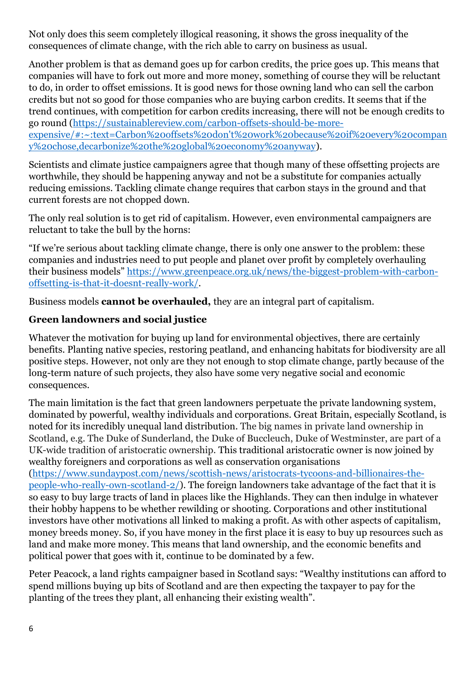Not only does this seem completely illogical reasoning, it shows the gross inequality of the consequences of climate change, with the rich able to carry on business as usual.

Another problem is that as demand goes up for carbon credits, the price goes up. This means that companies will have to fork out more and more money, something of course they will be reluctant to do, in order to offset emissions. It is good news for those owning land who can sell the carbon credits but not so good for those companies who are buying carbon credits. It seems that if the trend continues, with competition for carbon credits increasing, there will not be enough credits to go round [\(https://sustainablereview.com/carbon-offsets-should-be-more](https://sustainablereview.com/carbon-offsets-should-be-more-expensive/#:~:text=Carbon%20offsets%20don)[expensive/#:~:text=Carbon%20offsets%20don't%20work%20because%20if%20every%20compan](https://sustainablereview.com/carbon-offsets-should-be-more-expensive/#:~:text=Carbon%20offsets%20don) [y%20chose,decarbonize%20the%20global%20economy%20anyway\)](https://sustainablereview.com/carbon-offsets-should-be-more-expensive/#:~:text=Carbon%20offsets%20don).

Scientists and climate justice campaigners agree that though many of these offsetting projects are worthwhile, they should be happening anyway and not be a substitute for companies actually reducing emissions. Tackling climate change requires that carbon stays in the ground and that current forests are not chopped down.

The only real solution is to get rid of capitalism. However, even environmental campaigners are reluctant to take the bull by the horns:

"If we're serious about tackling climate change, there is only one answer to the problem: these companies and industries need to put people and planet over profit by completely overhauling their business models" [https://www.greenpeace.org.uk/news/the-biggest-problem-with-carbon](https://www.greenpeace.org.uk/news/the-biggest-problem-with-carbon-offsetting-is-that-it-doesnt-really-work/)[offsetting-is-that-it-doesnt-really-work/.](https://www.greenpeace.org.uk/news/the-biggest-problem-with-carbon-offsetting-is-that-it-doesnt-really-work/)

Business models **cannot be overhauled,** they are an integral part of capitalism.

#### **Green landowners and social justice**

Whatever the motivation for buying up land for environmental objectives, there are certainly benefits. Planting native species, restoring peatland, and enhancing habitats for biodiversity are all positive steps. However, not only are they not enough to stop climate change, partly because of the long-term nature of such projects, they also have some very negative social and economic consequences.

The main limitation is the fact that green landowners perpetuate the private landowning system, dominated by powerful, wealthy individuals and corporations. Great Britain, especially Scotland, is noted for its incredibly unequal land distribution. The big names in private land ownership in Scotland, e.g. The Duke of Sunderland, the Duke of Buccleuch, Duke of Westminster, are part of a UK-wide tradition of aristocratic ownership. This traditional aristocratic owner is now joined by wealthy foreigners and corporations as well as conservation organisations

[\(https://www.sundaypost.com/news/scottish-news/aristocrats-tycoons-and-billionaires-the](https://www.sundaypost.com/news/scottish-news/aristocrats-tycoons-and-billionaires-the-people-who-really-own-scotland-2/)[people-who-really-own-scotland-2/\)](https://www.sundaypost.com/news/scottish-news/aristocrats-tycoons-and-billionaires-the-people-who-really-own-scotland-2/). The foreign landowners take advantage of the fact that it is so easy to buy large tracts of land in places like the Highlands. They can then indulge in whatever their hobby happens to be whether rewilding or shooting. Corporations and other institutional investors have other motivations all linked to making a profit. As with other aspects of capitalism, money breeds money. So, if you have money in the first place it is easy to buy up resources such as land and make more money. This means that land ownership, and the economic benefits and political power that goes with it, continue to be dominated by a few.

Peter Peacock, a land rights campaigner based in Scotland says: "Wealthy institutions can afford to spend millions buying up bits of Scotland and are then expecting the taxpayer to pay for the planting of the trees they plant, all enhancing their existing wealth".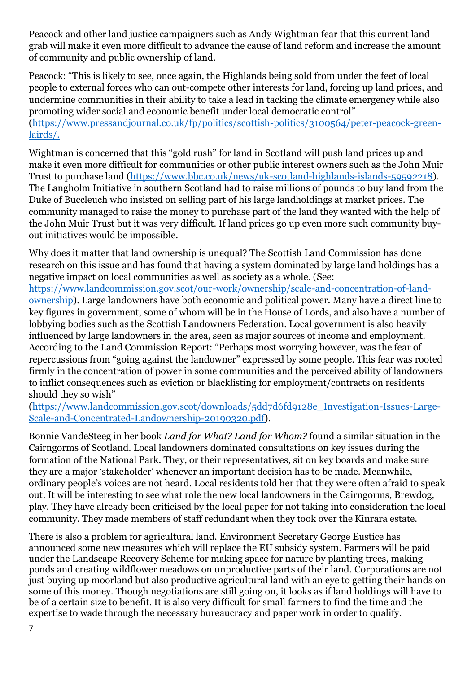Peacock and other land justice campaigners such as Andy Wightman fear that this current land grab will make it even more difficult to advance the cause of land reform and increase the amount of community and public ownership of land.

Peacock: "This is likely to see, once again, the Highlands being sold from under the feet of local people to external forces who can out-compete other interests for land, forcing up land prices, and undermine communities in their ability to take a lead in tacking the climate emergency while also promoting wider social and economic benefit under local democratic control" [\(https://www.pressandjournal.co.uk/fp/politics/scottish-politics/3100564/peter-peacock-green](https://www.pressandjournal.co.uk/fp/politics/scottish-politics/3100564/peter-peacock-green-lairds/)[lairds/.](https://www.pressandjournal.co.uk/fp/politics/scottish-politics/3100564/peter-peacock-green-lairds/)

Wightman is concerned that this "gold rush" for land in Scotland will push land prices up and make it even more difficult for communities or other public interest owners such as the John Muir Trust to purchase land [\(https://www.bbc.co.uk/news/uk-scotland-highlands-islands-59592218\)](https://www.bbc.co.uk/news/uk-scotland-highlands-islands-59592218). The Langholm Initiative in southern Scotland had to raise millions of pounds to buy land from the Duke of Buccleuch who insisted on selling part of his large landholdings at market prices. The community managed to raise the money to purchase part of the land they wanted with the help of the John Muir Trust but it was very difficult. If land prices go up even more such community buyout initiatives would be impossible.

Why does it matter that land ownership is unequal? The Scottish Land Commission has done research on this issue and has found that having a system dominated by large land holdings has a negative impact on local communities as well as society as a whole. (See: [https://www.landcommission.gov.scot/our-work/ownership/scale-and-concentration-of-land](https://www.landcommission.gov.scot/our-work/ownership/scale-and-concentration-of-land-ownership)[ownership\)](https://www.landcommission.gov.scot/our-work/ownership/scale-and-concentration-of-land-ownership). Large landowners have both economic and political power. Many have a direct line to key figures in government, some of whom will be in the House of Lords, and also have a number of lobbying bodies such as the Scottish Landowners Federation. Local government is also heavily influenced by large landowners in the area, seen as major sources of income and employment. According to the Land Commission Report: "Perhaps most worrying however, was the fear of repercussions from "going against the landowner" expressed by some people. This fear was rooted firmly in the concentration of power in some communities and the perceived ability of landowners to inflict consequences such as eviction or blacklisting for employment/contracts on residents should they so wish"

[\(https://www.landcommission.gov.scot/downloads/5dd7d6fd9128e\\_Investigation-Issues-Large-](https://www.landcommission.gov.scot/downloads/5dd7d6fd9128e_Investigation-Issues-Large-Scale-and-Concentrated-Landownership-20190320.pdf)[Scale-and-Concentrated-Landownership-20190320.pdf\)](https://www.landcommission.gov.scot/downloads/5dd7d6fd9128e_Investigation-Issues-Large-Scale-and-Concentrated-Landownership-20190320.pdf).

Bonnie VandeSteeg in her book *Land for What? Land for Whom?* found a similar situation in the Cairngorms of Scotland. Local landowners dominated consultations on key issues during the formation of the National Park. They, or their representatives, sit on key boards and make sure they are a major 'stakeholder' whenever an important decision has to be made. Meanwhile, ordinary people's voices are not heard. Local residents told her that they were often afraid to speak out. It will be interesting to see what role the new local landowners in the Cairngorms, Brewdog, play. They have already been criticised by the local paper for not taking into consideration the local community. They made members of staff redundant when they took over the Kinrara estate.

There is also a problem for agricultural land. Environment Secretary George Eustice has announced some new measures which will replace the EU subsidy system. Farmers will be paid under the Landscape Recovery Scheme for making space for nature by planting trees, making ponds and creating wildflower meadows on unproductive parts of their land. Corporations are not just buying up moorland but also productive agricultural land with an eye to getting their hands on some of this money. Though negotiations are still going on, it looks as if land holdings will have to be of a certain size to benefit. It is also very difficult for small farmers to find the time and the expertise to wade through the necessary bureaucracy and paper work in order to qualify.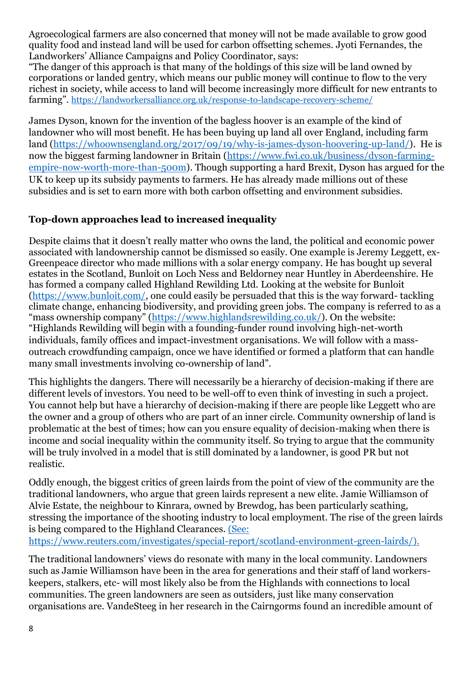Agroecological farmers are also concerned that money will not be made available to grow good quality food and instead land will be used for carbon offsetting schemes. Jyoti Fernandes, the Landworkers' Alliance Campaigns and Policy Coordinator, says:

"The danger of this approach is that many of the holdings of this size will be land owned by corporations or landed gentry, which means our public money will continue to flow to the very richest in society, while access to land will become increasingly more difficult for new entrants to farming". <https://landworkersalliance.org.uk/response-to-landscape-recovery-scheme/>

James Dyson, known for the invention of the bagless hoover is an example of the kind of landowner who will most benefit. He has been buying up land all over England, including farm land [\(https://whoownsengland.org/2017/09/19/why-is-james-dyson-hoovering-up-land/\)](https://whoownsengland.org/2017/09/19/why-is-james-dyson-hoovering-up-land/). He is now the biggest farming landowner in Britain [\(https://www.fwi.co.uk/business/dyson-farming](https://www.fwi.co.uk/business/dyson-farming-empire-now-worth-more-than-500m)[empire-now-worth-more-than-500m\)](https://www.fwi.co.uk/business/dyson-farming-empire-now-worth-more-than-500m). Though supporting a hard Brexit, Dyson has argued for the UK to keep up its subsidy payments to farmers. He has already made millions out of these subsidies and is set to earn more with both carbon offsetting and environment subsidies.

### **Top-down approaches lead to increased inequality**

Despite claims that it doesn't really matter who owns the land, the political and economic power associated with landownership cannot be dismissed so easily. One example is Jeremy Leggett, ex-Greenpeace director who made millions with a solar energy company. He has bought up several estates in the Scotland, Bunloit on Loch Ness and Beldorney near Huntley in Aberdeenshire. He has formed a company called Highland Rewilding Ltd. Looking at the website for Bunloit [\(https://www.bunloit.com/,](https://www.bunloit.com/) one could easily be persuaded that this is the way forward- tackling climate change, enhancing biodiversity, and providing green jobs. The company is referred to as a "mass ownership company" ([https://www.highlandsrewilding.co.uk/\)](https://www.highlandsrewilding.co.uk/). On the website: "Highlands Rewilding will begin with a founding-funder round involving high-net-worth individuals, family offices and impact-investment organisations. We will follow with a massoutreach crowdfunding campaign, once we have identified or formed a platform that can handle many small investments involving co-ownership of land".

This highlights the dangers. There will necessarily be a hierarchy of decision-making if there are different levels of investors. You need to be well-off to even think of investing in such a project. You cannot help but have a hierarchy of decision-making if there are people like Leggett who are the owner and a group of others who are part of an inner circle. Community ownership of land is problematic at the best of times; how can you ensure equality of decision-making when there is income and social inequality within the community itself. So trying to argue that the community will be truly involved in a model that is still dominated by a landowner, is good PR but not realistic.

Oddly enough, the biggest critics of green lairds from the point of view of the community are the traditional landowners, who argue that green lairds represent a new elite. Jamie Williamson of Alvie Estate, the neighbour to Kinrara, owned by Brewdog, has been particularly scathing, stressing the importance of the shooting industry to local employment. The rise of the green lairds is being compared to the Highland Clearances. (See:

[https://www.reuters.com/investigates/special-report/scotland-environment-green-lairds/\)](https://www.reuters.com/investigates/special-report/scotland-environment-green-lairds/).

The traditional landowners' views do resonate with many in the local community. Landowners such as Jamie Williamson have been in the area for generations and their staff of land workerskeepers, stalkers, etc- will most likely also be from the Highlands with connections to local communities. The green landowners are seen as outsiders, just like many conservation organisations are. VandeSteeg in her research in the Cairngorms found an incredible amount of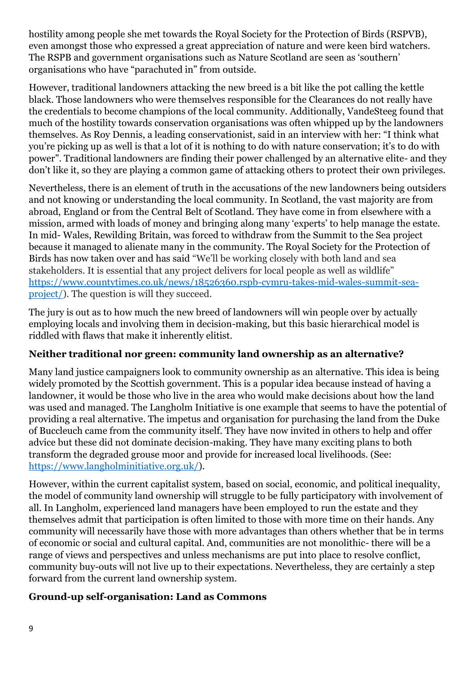hostility among people she met towards the Royal Society for the Protection of Birds (RSPVB), even amongst those who expressed a great appreciation of nature and were keen bird watchers. The RSPB and government organisations such as Nature Scotland are seen as 'southern' organisations who have "parachuted in" from outside.

However, traditional landowners attacking the new breed is a bit like the pot calling the kettle black. Those landowners who were themselves responsible for the Clearances do not really have the credentials to become champions of the local community. Additionally, VandeSteeg found that much of the hostility towards conservation organisations was often whipped up by the landowners themselves. As Roy Dennis, a leading conservationist, said in an interview with her: "I think what you're picking up as well is that a lot of it is nothing to do with nature conservation; it's to do with power". Traditional landowners are finding their power challenged by an alternative elite- and they don't like it, so they are playing a common game of attacking others to protect their own privileges.

Nevertheless, there is an element of truth in the accusations of the new landowners being outsiders and not knowing or understanding the local community. In Scotland, the vast majority are from abroad, England or from the Central Belt of Scotland. They have come in from elsewhere with a mission, armed with loads of money and bringing along many 'experts' to help manage the estate. In mid- Wales, Rewilding Britain*,* was forced to withdraw from the Summit to the Sea project because it managed to alienate many in the community. The Royal Society for the Protection of Birds has now taken over and has said "We'll be working closely with both land and sea stakeholders. It is essential that any project delivers for local people as well as wildlife" [https://www.countytimes.co.uk/news/18526360.rspb-cymru-takes-mid-wales-summit-sea](https://www.countytimes.co.uk/news/18526360.rspb-cymru-takes-mid-wales-summit-sea-project/)[project/\)](https://www.countytimes.co.uk/news/18526360.rspb-cymru-takes-mid-wales-summit-sea-project/). The question is will they succeed.

The jury is out as to how much the new breed of landowners will win people over by actually employing locals and involving them in decision-making, but this basic hierarchical model is riddled with flaws that make it inherently elitist.

# **Neither traditional nor green: community land ownership as an alternative?**

Many land justice campaigners look to community ownership as an alternative. This idea is being widely promoted by the Scottish government. This is a popular idea because instead of having a landowner, it would be those who live in the area who would make decisions about how the land was used and managed. The Langholm Initiative is one example that seems to have the potential of providing a real alternative. The impetus and organisation for purchasing the land from the Duke of Buccleuch came from the community itself. They have now invited in others to help and offer advice but these did not dominate decision-making. They have many exciting plans to both transform the degraded grouse moor and provide for increased local livelihoods. (See: [https://www.langholminitiative.org.uk/\)](https://www.langholminitiative.org.uk/).

However, within the current capitalist system, based on social, economic, and political inequality, the model of community land ownership will struggle to be fully participatory with involvement of all. In Langholm, experienced land managers have been employed to run the estate and they themselves admit that participation is often limited to those with more time on their hands. Any community will necessarily have those with more advantages than others whether that be in terms of economic or social and cultural capital. And, communities are not monolithic- there will be a range of views and perspectives and unless mechanisms are put into place to resolve conflict, community buy-outs will not live up to their expectations. Nevertheless, they are certainly a step forward from the current land ownership system.

#### **Ground-up self-organisation: Land as Commons**